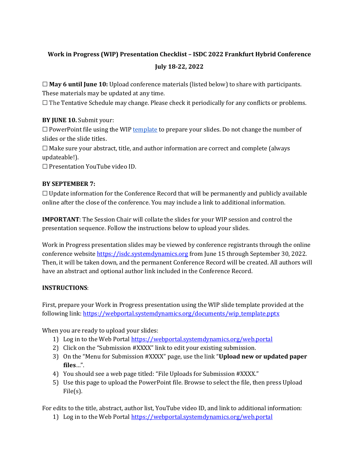## **Work in Progress (WIP) Presentation Checklist – ISDC 2022 Frankfurt Hybrid Conference July 18-22, 2022**

☐ **May 6 until June 10:** Upload conference materials (listed below) to share with participants. These materials may be updated at any time.

☐ The Tentative Schedule may change. Please check it periodically for any conflicts or problems.

## **BY JUNE 10.** Submit your:

 $\Box$  PowerPoint file using the WIP [template](https://webportal.systemdynamics.org/documents/wip_template.pptx) to prepare your slides. Do not change the number of slides or the slide titles.

 $\Box$  Make sure your abstract, title, and author information are correct and complete (always updateable!).

☐ Presentation YouTube video ID.

## **BY SEPTEMBER 7:**

 $\Box$  Update information for the Conference Record that will be permanently and publicly available online after the close of the conference. You may include a link to additional information.

**IMPORTANT**: The Session Chair will collate the slides for your WIP session and control the presentation sequence. Follow the instructions below to upload your slides.

Work in Progress presentation slides may be viewed by conference registrants through the online conference websit[e https://isdc.systemdynamics.org](https://isdc.systemdynamics.org/) from June 15 through September 30, 2022. Then, it will be taken down, and the permanent Conference Record will be created. All authors will have an abstract and optional author link included in the Conference Record.

## **INSTRUCTIONS**:

First, prepare your Work in Progress presentation using the WIP slide template provided at the following link: [https://webportal.systemdynamics.org/documents/wip\\_template.pptx](https://webportal.systemdynamics.org/documents/wip_template.pptx) 

When you are ready to upload your slides:

- 1) Log in to the Web Portal<https://webportal.systemdynamics.org/web.portal>
- 2) Click on the "Submission #XXXX" link to edit your existing submission.
- 3) On the "Menu for Submission #XXXX" page, use the link "**Upload new or updated paper files**…".
- 4) You should see a web page titled: "File Uploads for Submission #XXXX."
- 5) Use this page to upload the PowerPoint file. Browse to select the file, then press Upload File(s).

For edits to the title, abstract, author list, YouTube video ID, and link to additional information:

1) Log in to the Web Portal<https://webportal.systemdynamics.org/web.portal>